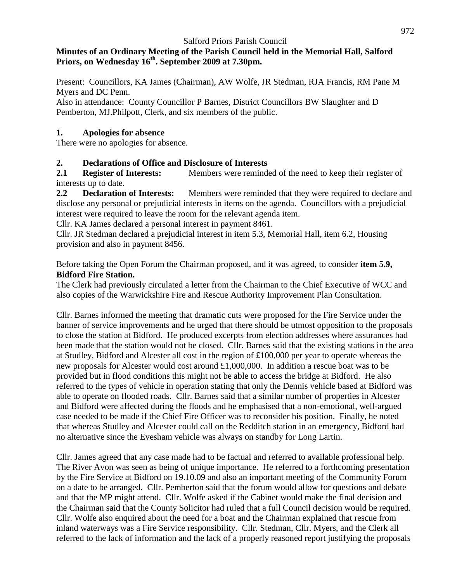#### **Minutes of an Ordinary Meeting of the Parish Council held in the Memorial Hall, Salford Priors, on Wednesday 16 th . September 2009 at 7.30pm.**

Present: Councillors, KA James (Chairman), AW Wolfe, JR Stedman, RJA Francis, RM Pane M Myers and DC Penn.

Also in attendance: County Councillor P Barnes, District Councillors BW Slaughter and D Pemberton, MJ.Philpott, Clerk, and six members of the public.

#### **1. Apologies for absence**

There were no apologies for absence.

### **2. Declarations of Office and Disclosure of Interests**

**2.1 Register of Interests:** Members were reminded of the need to keep their register of interests up to date.

**2.2 Declaration of Interests:** Members were reminded that they were required to declare and disclose any personal or prejudicial interests in items on the agenda. Councillors with a prejudicial interest were required to leave the room for the relevant agenda item.

Cllr. KA James declared a personal interest in payment 8461.

Cllr. JR Stedman declared a prejudicial interest in item 5.3, Memorial Hall, item 6.2, Housing provision and also in payment 8456.

Before taking the Open Forum the Chairman proposed, and it was agreed, to consider **item 5.9, Bidford Fire Station.**

The Clerk had previously circulated a letter from the Chairman to the Chief Executive of WCC and also copies of the Warwickshire Fire and Rescue Authority Improvement Plan Consultation.

Cllr. Barnes informed the meeting that dramatic cuts were proposed for the Fire Service under the banner of service improvements and he urged that there should be utmost opposition to the proposals to close the station at Bidford. He produced excerpts from election addresses where assurances had been made that the station would not be closed. Cllr. Barnes said that the existing stations in the area at Studley, Bidford and Alcester all cost in the region of £100,000 per year to operate whereas the new proposals for Alcester would cost around £1,000,000. In addition a rescue boat was to be provided but in flood conditions this might not be able to access the bridge at Bidford. He also referred to the types of vehicle in operation stating that only the Dennis vehicle based at Bidford was able to operate on flooded roads. Cllr. Barnes said that a similar number of properties in Alcester and Bidford were affected during the floods and he emphasised that a non-emotional, well-argued case needed to be made if the Chief Fire Officer was to reconsider his position. Finally, he noted that whereas Studley and Alcester could call on the Redditch station in an emergency, Bidford had no alternative since the Evesham vehicle was always on standby for Long Lartin.

Cllr. James agreed that any case made had to be factual and referred to available professional help. The River Avon was seen as being of unique importance. He referred to a forthcoming presentation by the Fire Service at Bidford on 19.10.09 and also an important meeting of the Community Forum on a date to be arranged. Cllr. Pemberton said that the forum would allow for questions and debate and that the MP might attend. Cllr. Wolfe asked if the Cabinet would make the final decision and the Chairman said that the County Solicitor had ruled that a full Council decision would be required. Cllr. Wolfe also enquired about the need for a boat and the Chairman explained that rescue from inland waterways was a Fire Service responsibility. Cllr. Stedman, Cllr. Myers, and the Clerk all referred to the lack of information and the lack of a properly reasoned report justifying the proposals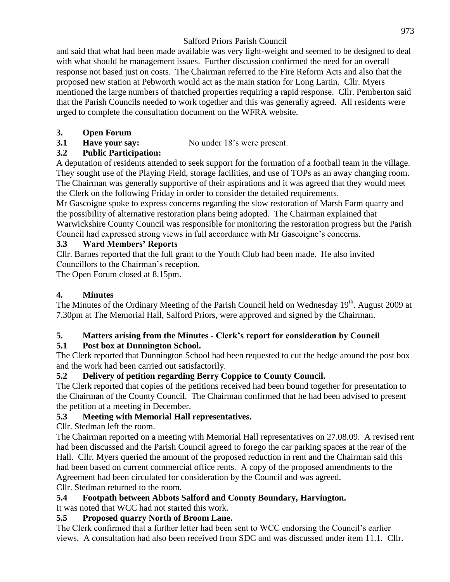and said that what had been made available was very light-weight and seemed to be designed to deal with what should be management issues. Further discussion confirmed the need for an overall response not based just on costs. The Chairman referred to the Fire Reform Acts and also that the proposed new station at Pebworth would act as the main station for Long Lartin. Cllr. Myers mentioned the large numbers of thatched properties requiring a rapid response. Cllr. Pemberton said that the Parish Councils needed to work together and this was generally agreed. All residents were urged to complete the consultation document on the WFRA website.

## **3. Open Forum**

**3.1 Have your say:** No under 18's were present.

## **3.2 Public Participation:**

A deputation of residents attended to seek support for the formation of a football team in the village. They sought use of the Playing Field, storage facilities, and use of TOPs as an away changing room. The Chairman was generally supportive of their aspirations and it was agreed that they would meet the Clerk on the following Friday in order to consider the detailed requirements.

Mr Gascoigne spoke to express concerns regarding the slow restoration of Marsh Farm quarry and the possibility of alternative restoration plans being adopted. The Chairman explained that Warwickshire County Council was responsible for monitoring the restoration progress but the Parish Council had expressed strong views in full accordance with Mr Gascoigne's concerns.

## **3.3 Ward Members' Reports**

Cllr. Barnes reported that the full grant to the Youth Club had been made. He also invited Councillors to the Chairman's reception.

The Open Forum closed at 8.15pm.

# **4. Minutes**

The Minutes of the Ordinary Meeting of the Parish Council held on Wednesday 19<sup>th</sup>. August 2009 at 7.30pm at The Memorial Hall, Salford Priors, were approved and signed by the Chairman.

# **5. Matters arising from the Minutes - Clerk's report for consideration by Council**

# **5.1 Post box at Dunnington School.**

The Clerk reported that Dunnington School had been requested to cut the hedge around the post box and the work had been carried out satisfactorily.

## **5.2 Delivery of petition regarding Berry Coppice to County Council.**

The Clerk reported that copies of the petitions received had been bound together for presentation to the Chairman of the County Council. The Chairman confirmed that he had been advised to present the petition at a meeting in December.

# **5.3 Meeting with Memorial Hall representatives.**

Cllr. Stedman left the room.

The Chairman reported on a meeting with Memorial Hall representatives on 27.08.09. A revised rent had been discussed and the Parish Council agreed to forego the car parking spaces at the rear of the Hall. Cllr. Myers queried the amount of the proposed reduction in rent and the Chairman said this had been based on current commercial office rents. A copy of the proposed amendments to the Agreement had been circulated for consideration by the Council and was agreed.

Cllr. Stedman returned to the room.

## **5.4 Footpath between Abbots Salford and County Boundary, Harvington.**

# It was noted that WCC had not started this work.

## **5.5 Proposed quarry North of Broom Lane.**

The Clerk confirmed that a further letter had been sent to WCC endorsing the Council's earlier views. A consultation had also been received from SDC and was discussed under item 11.1. Cllr.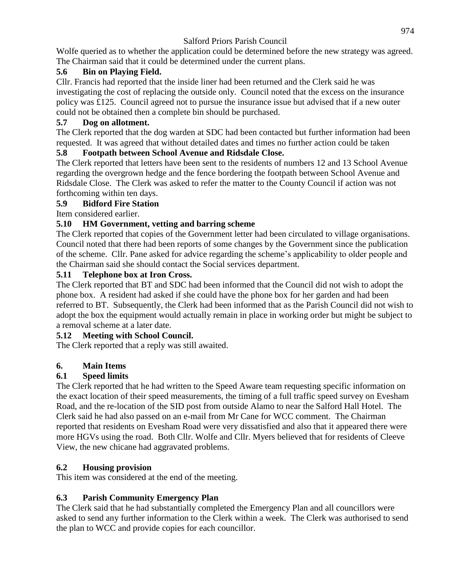Wolfe queried as to whether the application could be determined before the new strategy was agreed. The Chairman said that it could be determined under the current plans.

## **5.6 Bin on Playing Field.**

Cllr. Francis had reported that the inside liner had been returned and the Clerk said he was investigating the cost of replacing the outside only. Council noted that the excess on the insurance policy was £125. Council agreed not to pursue the insurance issue but advised that if a new outer could not be obtained then a complete bin should be purchased.

## **5.7 Dog on allotment.**

The Clerk reported that the dog warden at SDC had been contacted but further information had been requested. It was agreed that without detailed dates and times no further action could be taken

## **5.8 Footpath between School Avenue and Ridsdale Close.**

The Clerk reported that letters have been sent to the residents of numbers 12 and 13 School Avenue regarding the overgrown hedge and the fence bordering the footpath between School Avenue and Ridsdale Close. The Clerk was asked to refer the matter to the County Council if action was not forthcoming within ten days.

### **5.9 Bidford Fire Station**

Item considered earlier.

## **5.10 HM Government, vetting and barring scheme**

The Clerk reported that copies of the Government letter had been circulated to village organisations. Council noted that there had been reports of some changes by the Government since the publication of the scheme. Cllr. Pane asked for advice regarding the scheme's applicability to older people and the Chairman said she should contact the Social services department.

### **5.11 Telephone box at Iron Cross.**

The Clerk reported that BT and SDC had been informed that the Council did not wish to adopt the phone box. A resident had asked if she could have the phone box for her garden and had been referred to BT. Subsequently, the Clerk had been informed that as the Parish Council did not wish to adopt the box the equipment would actually remain in place in working order but might be subject to a removal scheme at a later date.

## **5.12 Meeting with School Council.**

The Clerk reported that a reply was still awaited.

## **6. Main Items**

## **6.1 Speed limits**

The Clerk reported that he had written to the Speed Aware team requesting specific information on the exact location of their speed measurements, the timing of a full traffic speed survey on Evesham Road, and the re-location of the SID post from outside Alamo to near the Salford Hall Hotel. The Clerk said he had also passed on an e-mail from Mr Cane for WCC comment. The Chairman reported that residents on Evesham Road were very dissatisfied and also that it appeared there were more HGVs using the road. Both Cllr. Wolfe and Cllr. Myers believed that for residents of Cleeve View, the new chicane had aggravated problems.

## **6.2 Housing provision**

This item was considered at the end of the meeting.

## **6.3 Parish Community Emergency Plan**

The Clerk said that he had substantially completed the Emergency Plan and all councillors were asked to send any further information to the Clerk within a week. The Clerk was authorised to send the plan to WCC and provide copies for each councillor.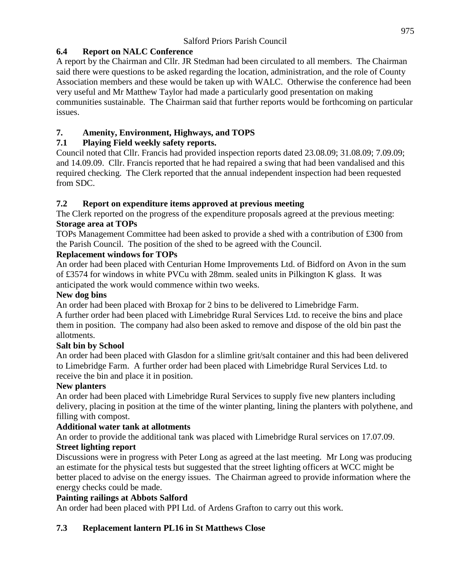### **6.4 Report on NALC Conference**

A report by the Chairman and Cllr. JR Stedman had been circulated to all members. The Chairman said there were questions to be asked regarding the location, administration, and the role of County Association members and these would be taken up with WALC. Otherwise the conference had been very useful and Mr Matthew Taylor had made a particularly good presentation on making communities sustainable. The Chairman said that further reports would be forthcoming on particular issues.

### **7. Amenity, Environment, Highways, and TOPS**

### **7.1 Playing Field weekly safety reports.**

Council noted that Cllr. Francis had provided inspection reports dated 23.08.09; 31.08.09; 7.09.09; and 14.09.09. Cllr. Francis reported that he had repaired a swing that had been vandalised and this required checking. The Clerk reported that the annual independent inspection had been requested from SDC.

### **7.2 Report on expenditure items approved at previous meeting**

The Clerk reported on the progress of the expenditure proposals agreed at the previous meeting: **Storage area at TOPs**

TOPs Management Committee had been asked to provide a shed with a contribution of £300 from the Parish Council. The position of the shed to be agreed with the Council.

#### **Replacement windows for TOPs**

An order had been placed with Centurian Home Improvements Ltd. of Bidford on Avon in the sum of £3574 for windows in white PVCu with 28mm. sealed units in Pilkington K glass. It was anticipated the work would commence within two weeks.

#### **New dog bins**

An order had been placed with Broxap for 2 bins to be delivered to Limebridge Farm.

A further order had been placed with Limebridge Rural Services Ltd. to receive the bins and place them in position. The company had also been asked to remove and dispose of the old bin past the allotments.

### **Salt bin by School**

An order had been placed with Glasdon for a slimline grit/salt container and this had been delivered to Limebridge Farm. A further order had been placed with Limebridge Rural Services Ltd. to receive the bin and place it in position.

### **New planters**

An order had been placed with Limebridge Rural Services to supply five new planters including delivery, placing in position at the time of the winter planting, lining the planters with polythene, and filling with compost.

### **Additional water tank at allotments**

An order to provide the additional tank was placed with Limebridge Rural services on 17.07.09. **Street lighting report** 

Discussions were in progress with Peter Long as agreed at the last meeting. Mr Long was producing an estimate for the physical tests but suggested that the street lighting officers at WCC might be better placed to advise on the energy issues. The Chairman agreed to provide information where the energy checks could be made.

### **Painting railings at Abbots Salford**

An order had been placed with PPI Ltd. of Ardens Grafton to carry out this work.

### **7.3 Replacement lantern PL16 in St Matthews Close**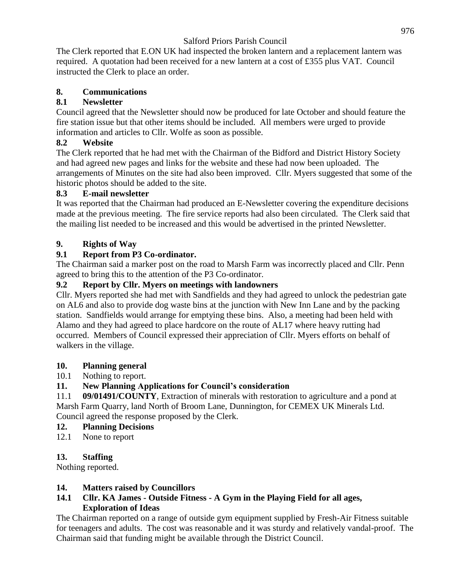The Clerk reported that E.ON UK had inspected the broken lantern and a replacement lantern was required. A quotation had been received for a new lantern at a cost of £355 plus VAT. Council instructed the Clerk to place an order.

### **8. Communications**

### **8.1 Newsletter**

Council agreed that the Newsletter should now be produced for late October and should feature the fire station issue but that other items should be included. All members were urged to provide information and articles to Cllr. Wolfe as soon as possible.

### **8.2 Website**

The Clerk reported that he had met with the Chairman of the Bidford and District History Society and had agreed new pages and links for the website and these had now been uploaded. The arrangements of Minutes on the site had also been improved. Cllr. Myers suggested that some of the historic photos should be added to the site.

### **8.3 E-mail newsletter**

It was reported that the Chairman had produced an E-Newsletter covering the expenditure decisions made at the previous meeting. The fire service reports had also been circulated. The Clerk said that the mailing list needed to be increased and this would be advertised in the printed Newsletter.

### **9. Rights of Way**

## **9.1 Report from P3 Co-ordinator.**

The Chairman said a marker post on the road to Marsh Farm was incorrectly placed and Cllr. Penn agreed to bring this to the attention of the P3 Co-ordinator.

### **9.2 Report by Cllr. Myers on meetings with landowners**

Cllr. Myers reported she had met with Sandfields and they had agreed to unlock the pedestrian gate on AL6 and also to provide dog waste bins at the junction with New Inn Lane and by the packing station. Sandfields would arrange for emptying these bins. Also, a meeting had been held with Alamo and they had agreed to place hardcore on the route of AL17 where heavy rutting had occurred. Members of Council expressed their appreciation of Cllr. Myers efforts on behalf of walkers in the village.

### **10. Planning general**

### 10.1 Nothing to report.

## **11. New Planning Applications for Council's consideration**

11.1 **09/01491/COUNTY**, Extraction of minerals with restoration to agriculture and a pond at Marsh Farm Quarry, land North of Broom Lane, Dunnington, for CEMEX UK Minerals Ltd. Council agreed the response proposed by the Clerk.

### **12. Planning Decisions**

12.1 None to report

### **13. Staffing**

Nothing reported.

### **14. Matters raised by Councillors**

#### **14.1 Cllr. KA James - Outside Fitness - A Gym in the Playing Field for all ages, Exploration of Ideas**

The Chairman reported on a range of outside gym equipment supplied by Fresh-Air Fitness suitable for teenagers and adults. The cost was reasonable and it was sturdy and relatively vandal-proof. The Chairman said that funding might be available through the District Council.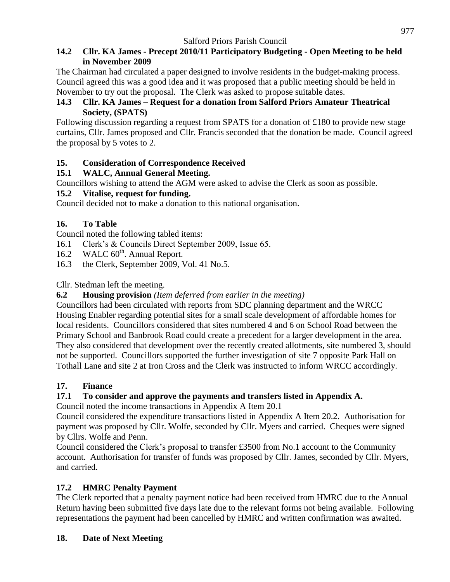### **14.2 Cllr. KA James - Precept 2010/11 Participatory Budgeting - Open Meeting to be held in November 2009**

The Chairman had circulated a paper designed to involve residents in the budget-making process. Council agreed this was a good idea and it was proposed that a public meeting should be held in November to try out the proposal. The Clerk was asked to propose suitable dates.

### **14.3 Cllr. KA James – Request for a donation from Salford Priors Amateur Theatrical Society, (SPATS)**

Following discussion regarding a request from SPATS for a donation of £180 to provide new stage curtains, Cllr. James proposed and Cllr. Francis seconded that the donation be made. Council agreed the proposal by 5 votes to 2.

## **15. Consideration of Correspondence Received**

## **15.1 WALC, Annual General Meeting.**

Councillors wishing to attend the AGM were asked to advise the Clerk as soon as possible.

## **15.2 Vitalise, request for funding.**

Council decided not to make a donation to this national organisation.

## **16. To Table**

Council noted the following tabled items:

- 16.1 Clerk's & Councils Direct September 2009, Issue 65.
- 16.2 WALC  $60^{\text{th}}$ . Annual Report.
- 16.3 the Clerk, September 2009, Vol. 41 No.5.

Cllr. Stedman left the meeting.

## **6.2 Housing provision** *(Item deferred from earlier in the meeting)*

Councillors had been circulated with reports from SDC planning department and the WRCC Housing Enabler regarding potential sites for a small scale development of affordable homes for local residents. Councillors considered that sites numbered 4 and 6 on School Road between the Primary School and Banbrook Road could create a precedent for a larger development in the area. They also considered that development over the recently created allotments, site numbered 3, should not be supported. Councillors supported the further investigation of site 7 opposite Park Hall on Tothall Lane and site 2 at Iron Cross and the Clerk was instructed to inform WRCC accordingly.

# **17. Finance**

# **17.1 To consider and approve the payments and transfers listed in Appendix A.**

Council noted the income transactions in Appendix A Item 20.1

Council considered the expenditure transactions listed in Appendix A Item 20.2. Authorisation for payment was proposed by Cllr. Wolfe, seconded by Cllr. Myers and carried. Cheques were signed by Cllrs. Wolfe and Penn.

Council considered the Clerk's proposal to transfer £3500 from No.1 account to the Community account. Authorisation for transfer of funds was proposed by Cllr. James, seconded by Cllr. Myers, and carried.

# **17.2 HMRC Penalty Payment**

The Clerk reported that a penalty payment notice had been received from HMRC due to the Annual Return having been submitted five days late due to the relevant forms not being available. Following representations the payment had been cancelled by HMRC and written confirmation was awaited.

## **18. Date of Next Meeting**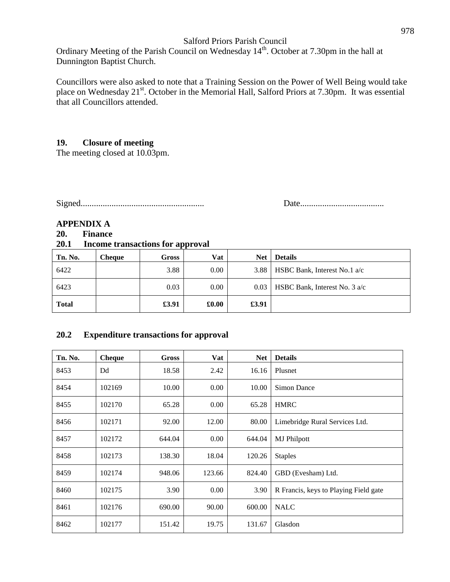Ordinary Meeting of the Parish Council on Wednesday 14<sup>th</sup>. October at 7.30pm in the hall at Dunnington Baptist Church.

Councillors were also asked to note that a Training Session on the Power of Well Being would take place on Wednesday 21<sup>st</sup>. October in the Memorial Hall, Salford Priors at 7.30pm. It was essential that all Councillors attended.

#### **19. Closure of meeting**

The meeting closed at 10.03pm.

Signed........................................................ Date......................................

#### **APPENDIX A**

#### **20. Finance**

#### **20.1 Income transactions for approval**

| Tn. No.      | Cheaue | Gross | Vat                             | <b>Net</b> | <b>Details</b>                  |
|--------------|--------|-------|---------------------------------|------------|---------------------------------|
| 6422         |        | 3.88  | 0.00                            | 3.88       | HSBC Bank, Interest No.1 a/c    |
| 6423         |        | 0.03  | 0.00                            | 0.03       | HSBC Bank, Interest No. $3 a/c$ |
| <b>Total</b> |        | £3.91 | $\pmb{\pmb{\pmb{\text{0.00}}}}$ | £3.91      |                                 |

#### **20.2 Expenditure transactions for approval**

| Tn. No. | <b>Cheque</b> | <b>Gross</b> | Vat    | <b>Net</b> | <b>Details</b>                        |
|---------|---------------|--------------|--------|------------|---------------------------------------|
| 8453    | Dd            | 18.58        | 2.42   | 16.16      | Plusnet                               |
| 8454    | 102169        | 10.00        | 0.00   | 10.00      | <b>Simon Dance</b>                    |
| 8455    | 102170        | 65.28        | 0.00   | 65.28      | <b>HMRC</b>                           |
| 8456    | 102171        | 92.00        | 12.00  | 80.00      | Limebridge Rural Services Ltd.        |
| 8457    | 102172        | 644.04       | 0.00   | 644.04     | <b>MJ</b> Philpott                    |
| 8458    | 102173        | 138.30       | 18.04  | 120.26     | <b>Staples</b>                        |
| 8459    | 102174        | 948.06       | 123.66 | 824.40     | GBD (Evesham) Ltd.                    |
| 8460    | 102175        | 3.90         | 0.00   | 3.90       | R Francis, keys to Playing Field gate |
| 8461    | 102176        | 690.00       | 90.00  | 600.00     | <b>NALC</b>                           |
| 8462    | 102177        | 151.42       | 19.75  | 131.67     | Glasdon                               |